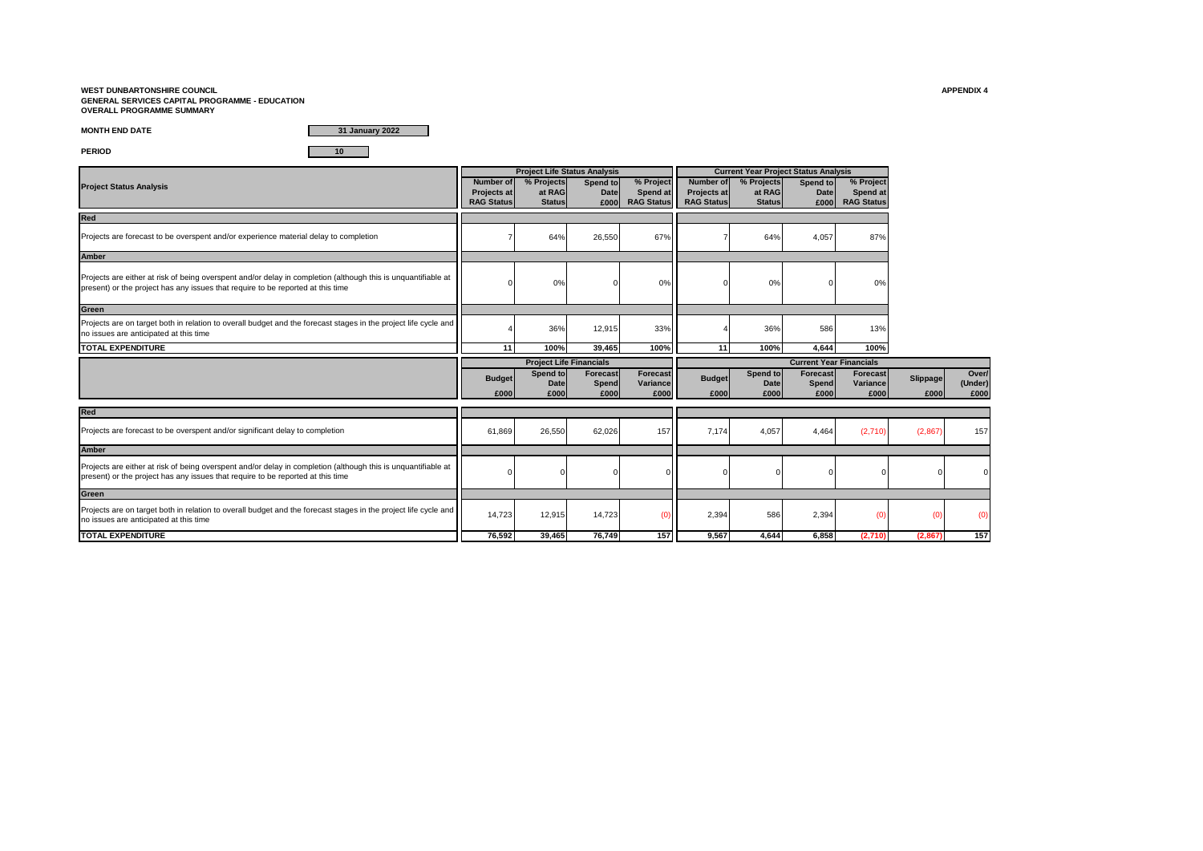#### **WEST DUNBARTONSHIRE COUNCIL APPENDIX 4 GENERAL SERVICES CAPITAL PROGRAMME - EDUCATION OVERALL PROGRAMME SUMMARY**

**MONTH END DATE**

**31 January 2022**

**PERIOD 10**

|                                                                                                                                                                                                  |                                                      | <b>Project Life Status Analysis</b>   |                                 |                             |                                                                 | <b>Current Year Project Status Analysis</b> |                                 |                                            |          |                  |
|--------------------------------------------------------------------------------------------------------------------------------------------------------------------------------------------------|------------------------------------------------------|---------------------------------------|---------------------------------|-----------------------------|-----------------------------------------------------------------|---------------------------------------------|---------------------------------|--------------------------------------------|----------|------------------|
| <b>Project Status Analysis</b>                                                                                                                                                                   | Number of<br><b>Projects at</b><br><b>RAG Status</b> | % Projects<br>at RAG<br><b>Status</b> | Spend to<br><b>Date</b><br>£000 | % Project<br>Spend at       | <b>Number of</b><br><b>Projects at</b><br>RAG Status RAG Status | % Projects<br>at RAG<br><b>Status</b>       | Spend to<br><b>Date</b><br>£000 | % Project<br>Spend at<br><b>RAG Status</b> |          |                  |
| Red                                                                                                                                                                                              |                                                      |                                       |                                 |                             |                                                                 |                                             |                                 |                                            |          |                  |
| Projects are forecast to be overspent and/or experience material delay to completion                                                                                                             |                                                      | 64%                                   | 26,550                          | 67%                         |                                                                 | 64%                                         | 4,057                           | 87%                                        |          |                  |
| <b>Amber</b>                                                                                                                                                                                     |                                                      |                                       |                                 |                             |                                                                 |                                             |                                 |                                            |          |                  |
| Projects are either at risk of being overspent and/or delay in completion (although this is unquantifiable at<br>present) or the project has any issues that require to be reported at this time |                                                      | 0%                                    |                                 | 0%                          |                                                                 | 0%                                          |                                 | 0%                                         |          |                  |
| Green                                                                                                                                                                                            |                                                      |                                       |                                 |                             |                                                                 |                                             |                                 |                                            |          |                  |
| Projects are on target both in relation to overall budget and the forecast stages in the project life cycle and<br>no issues are anticipated at this time                                        |                                                      | 36%                                   | 12,915                          | 33%                         |                                                                 | 36%                                         | 586                             | 13%                                        |          |                  |
| <b>TOTAL EXPENDITURE</b>                                                                                                                                                                         | 11                                                   | 100%                                  | 39.465                          | 100%                        | 11                                                              | 100%                                        | 4,644                           | 100%                                       |          |                  |
|                                                                                                                                                                                                  |                                                      | <b>Project Life Financials</b>        |                                 |                             |                                                                 |                                             | <b>Current Year Financials</b>  |                                            |          |                  |
|                                                                                                                                                                                                  | <b>Budget</b><br>£000                                | Spend to<br>Date                      | Forecast<br>Spend               | <b>Forecast</b><br>Variance | <b>Budget</b>                                                   | Spend to<br>Date                            | <b>Forecast</b><br>Spend        | Forecast<br>Variance                       | Slippage | Over/<br>(Under) |
|                                                                                                                                                                                                  |                                                      | £000                                  | £000                            | £000                        | £000                                                            | £000                                        | £000                            | £000                                       | £000     | £000             |
| Red                                                                                                                                                                                              |                                                      |                                       |                                 |                             |                                                                 |                                             |                                 |                                            |          |                  |
| Projects are forecast to be overspent and/or significant delay to completion                                                                                                                     | 61,869                                               | 26,550                                | 62,026                          | 157                         | 7,174                                                           | 4,057                                       | 4,464                           | (2,710)                                    | (2,867)  | 157              |
| <b>Amber</b>                                                                                                                                                                                     |                                                      |                                       |                                 |                             |                                                                 |                                             |                                 |                                            |          |                  |
| Projects are either at risk of being overspent and/or delay in completion (although this is unquantifiable at<br>present) or the project has any issues that require to be reported at this time |                                                      |                                       |                                 |                             |                                                                 |                                             |                                 |                                            |          |                  |
| Green                                                                                                                                                                                            |                                                      |                                       |                                 |                             |                                                                 |                                             |                                 |                                            |          |                  |
| Projects are on target both in relation to overall budget and the forecast stages in the project life cycle and<br>no issues are anticipated at this time                                        | 14,723                                               | 12,915                                | 14,723                          |                             | 2,394                                                           | 586                                         | 2,394                           | (0)                                        | (0)      |                  |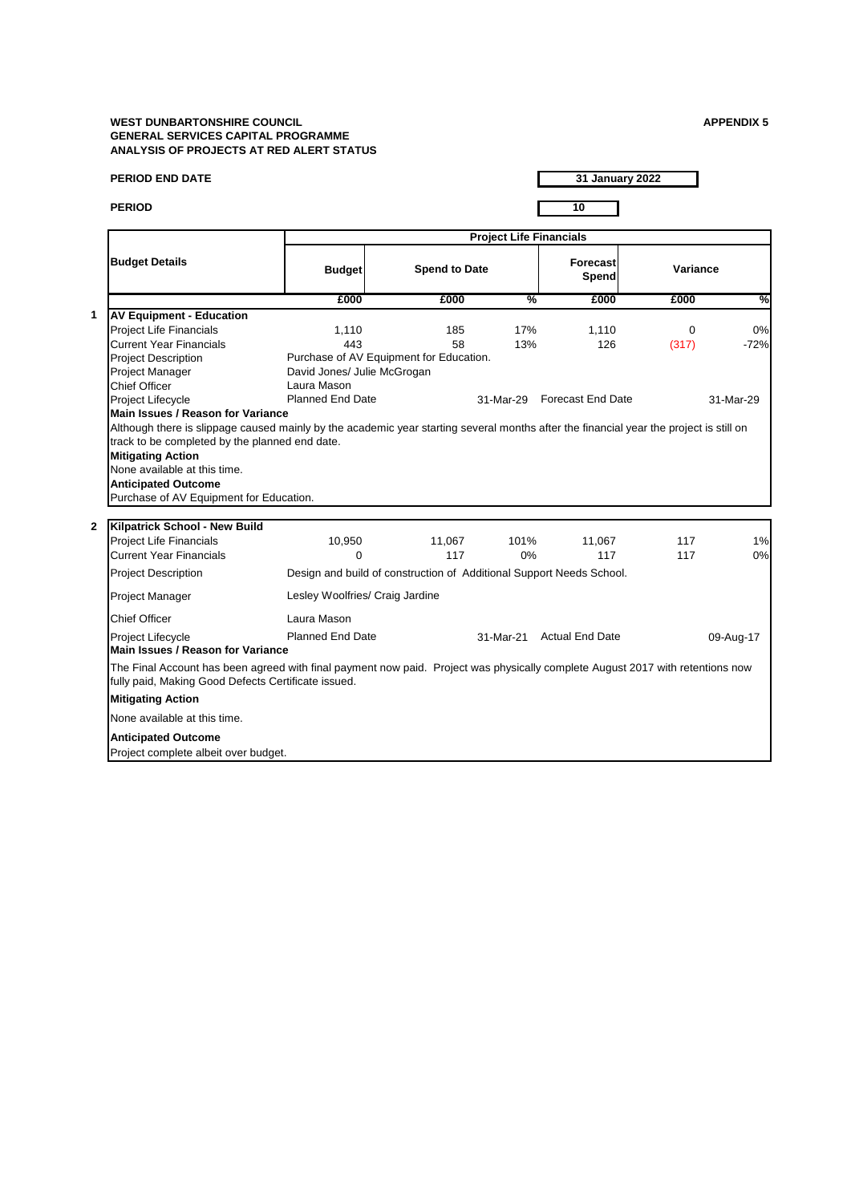# **WEST DUNBARTONSHIRE COUNCIL GENERAL SERVICES CAPITAL PROGRAMME ANALYSIS OF PROJECTS AT RED ALERT STATUS**

| <b>APPENDIX 5</b> |  |  |  |
|-------------------|--|--|--|
|                   |  |  |  |

| <b>PERIOD END DATE</b>                                                                                                                                                                |                                                                      |                      |                                | 31 January 2022           |          |           |
|---------------------------------------------------------------------------------------------------------------------------------------------------------------------------------------|----------------------------------------------------------------------|----------------------|--------------------------------|---------------------------|----------|-----------|
| <b>PERIOD</b>                                                                                                                                                                         |                                                                      |                      |                                | 10                        |          |           |
|                                                                                                                                                                                       |                                                                      |                      | <b>Project Life Financials</b> |                           |          |           |
| <b>Budget Details</b>                                                                                                                                                                 | <b>Budget</b>                                                        | <b>Spend to Date</b> |                                | <b>Forecast</b><br>Spend  | Variance |           |
|                                                                                                                                                                                       | £000                                                                 | £000                 | %                              | £000                      | £000     | %         |
| <b>AV Equipment - Education</b>                                                                                                                                                       |                                                                      |                      |                                |                           |          |           |
| <b>Project Life Financials</b>                                                                                                                                                        | 1.110                                                                | 185                  | 17%                            | 1,110                     | $\Omega$ | 0%        |
| <b>Current Year Financials</b>                                                                                                                                                        | 443                                                                  | 58                   | 13%                            | 126                       | (317)    | $-72%$    |
| <b>Project Description</b>                                                                                                                                                            | Purchase of AV Equipment for Education.                              |                      |                                |                           |          |           |
| <b>Project Manager</b>                                                                                                                                                                | David Jones/ Julie McGrogan                                          |                      |                                |                           |          |           |
| <b>Chief Officer</b>                                                                                                                                                                  | Laura Mason                                                          |                      |                                |                           |          |           |
| <b>Project Lifecycle</b>                                                                                                                                                              | <b>Planned End Date</b>                                              |                      | 31-Mar-29                      | <b>Forecast End Date</b>  |          | 31-Mar-29 |
| Main Issues / Reason for Variance                                                                                                                                                     |                                                                      |                      |                                |                           |          |           |
| Although there is slippage caused mainly by the academic year starting several months after the financial year the project is still on                                                |                                                                      |                      |                                |                           |          |           |
| track to be completed by the planned end date.                                                                                                                                        |                                                                      |                      |                                |                           |          |           |
| <b>Mitigating Action</b>                                                                                                                                                              |                                                                      |                      |                                |                           |          |           |
| None available at this time.                                                                                                                                                          |                                                                      |                      |                                |                           |          |           |
| <b>Anticipated Outcome</b>                                                                                                                                                            |                                                                      |                      |                                |                           |          |           |
| Purchase of AV Equipment for Education.                                                                                                                                               |                                                                      |                      |                                |                           |          |           |
| Kilpatrick School - New Build                                                                                                                                                         |                                                                      |                      |                                |                           |          |           |
| <b>Project Life Financials</b>                                                                                                                                                        | 10,950                                                               | 11,067               | 101%                           | 11,067                    | 117      | 1%        |
| <b>Current Year Financials</b>                                                                                                                                                        | $\Omega$                                                             | 117                  | 0%                             | 117                       | 117      | 0%        |
| <b>Project Description</b>                                                                                                                                                            | Design and build of construction of Additional Support Needs School. |                      |                                |                           |          |           |
| <b>Project Manager</b>                                                                                                                                                                | Lesley Woolfries/ Craig Jardine                                      |                      |                                |                           |          |           |
| <b>Chief Officer</b>                                                                                                                                                                  | Laura Mason                                                          |                      |                                |                           |          |           |
| Project Lifecycle<br>Main Issues / Reason for Variance                                                                                                                                | Planned End Date                                                     |                      |                                | 31-Mar-21 Actual End Date |          | 09-Aug-17 |
| The Final Account has been agreed with final payment now paid. Project was physically complete August 2017 with retentions now<br>fully paid, Making Good Defects Certificate issued. |                                                                      |                      |                                |                           |          |           |
| <b>Mitigating Action</b>                                                                                                                                                              |                                                                      |                      |                                |                           |          |           |
| None available at this time.                                                                                                                                                          |                                                                      |                      |                                |                           |          |           |
| <b>Anticipated Outcome</b>                                                                                                                                                            |                                                                      |                      |                                |                           |          |           |
| Project complete albeit over budget.                                                                                                                                                  |                                                                      |                      |                                |                           |          |           |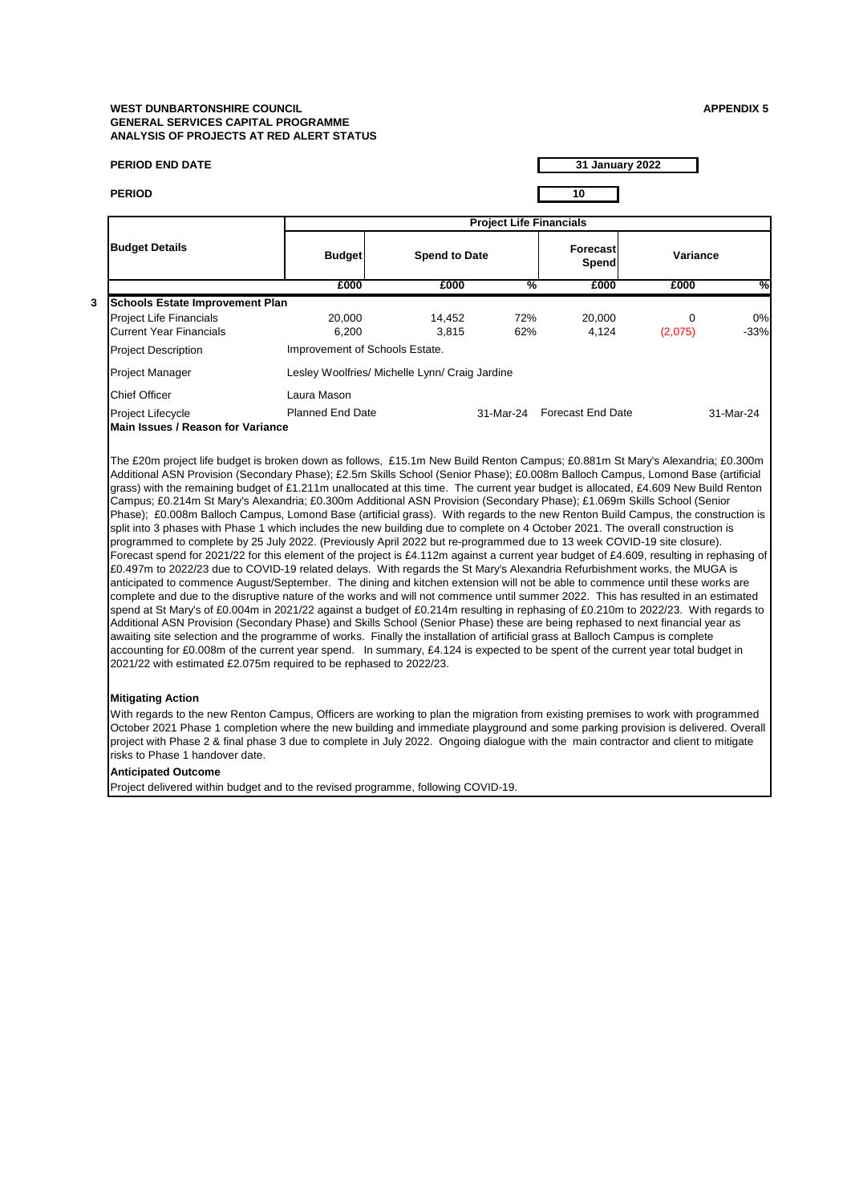#### **WEST DUNBARTONSHIRE COUNCIL APPENDIX 5 GENERAL SERVICES CAPITAL PROGRAMME ANALYSIS OF PROJECTS AT RED ALERT STATUS**

| <b>PERIOD END DATE</b>                                                                                                                                                                                                                                                                                                                                                                                                                                                                                                                                                                                                                                                                                                                                                                                                                                                                                                                                                                                                                                                                                                                                                                                                                                                                                                                                                                                                                                                                                                                                                                                                                                                                                                                                                                                                                                                                                                                                                                                                            |                                                |                      |                                | 31 January 2022             |                     |              |
|-----------------------------------------------------------------------------------------------------------------------------------------------------------------------------------------------------------------------------------------------------------------------------------------------------------------------------------------------------------------------------------------------------------------------------------------------------------------------------------------------------------------------------------------------------------------------------------------------------------------------------------------------------------------------------------------------------------------------------------------------------------------------------------------------------------------------------------------------------------------------------------------------------------------------------------------------------------------------------------------------------------------------------------------------------------------------------------------------------------------------------------------------------------------------------------------------------------------------------------------------------------------------------------------------------------------------------------------------------------------------------------------------------------------------------------------------------------------------------------------------------------------------------------------------------------------------------------------------------------------------------------------------------------------------------------------------------------------------------------------------------------------------------------------------------------------------------------------------------------------------------------------------------------------------------------------------------------------------------------------------------------------------------------|------------------------------------------------|----------------------|--------------------------------|-----------------------------|---------------------|--------------|
| <b>PERIOD</b>                                                                                                                                                                                                                                                                                                                                                                                                                                                                                                                                                                                                                                                                                                                                                                                                                                                                                                                                                                                                                                                                                                                                                                                                                                                                                                                                                                                                                                                                                                                                                                                                                                                                                                                                                                                                                                                                                                                                                                                                                     |                                                |                      |                                | 10                          |                     |              |
|                                                                                                                                                                                                                                                                                                                                                                                                                                                                                                                                                                                                                                                                                                                                                                                                                                                                                                                                                                                                                                                                                                                                                                                                                                                                                                                                                                                                                                                                                                                                                                                                                                                                                                                                                                                                                                                                                                                                                                                                                                   |                                                |                      | <b>Project Life Financials</b> |                             |                     |              |
| <b>Budget Details</b>                                                                                                                                                                                                                                                                                                                                                                                                                                                                                                                                                                                                                                                                                                                                                                                                                                                                                                                                                                                                                                                                                                                                                                                                                                                                                                                                                                                                                                                                                                                                                                                                                                                                                                                                                                                                                                                                                                                                                                                                             | <b>Budget</b>                                  | <b>Spend to Date</b> |                                | <b>Forecast</b><br>Spend    | Variance            |              |
|                                                                                                                                                                                                                                                                                                                                                                                                                                                                                                                                                                                                                                                                                                                                                                                                                                                                                                                                                                                                                                                                                                                                                                                                                                                                                                                                                                                                                                                                                                                                                                                                                                                                                                                                                                                                                                                                                                                                                                                                                                   | £000                                           | £000                 | %                              | £000                        | £000                | %            |
| <b>Schools Estate Improvement Plan</b><br><b>Project Life Financials</b><br><b>Current Year Financials</b>                                                                                                                                                                                                                                                                                                                                                                                                                                                                                                                                                                                                                                                                                                                                                                                                                                                                                                                                                                                                                                                                                                                                                                                                                                                                                                                                                                                                                                                                                                                                                                                                                                                                                                                                                                                                                                                                                                                        | 20,000<br>6,200                                | 14,452<br>3,815      | 72%<br>62%                     | 20,000<br>4,124             | $\Omega$<br>(2,075) | 0%<br>$-33%$ |
| <b>Project Description</b>                                                                                                                                                                                                                                                                                                                                                                                                                                                                                                                                                                                                                                                                                                                                                                                                                                                                                                                                                                                                                                                                                                                                                                                                                                                                                                                                                                                                                                                                                                                                                                                                                                                                                                                                                                                                                                                                                                                                                                                                        | Improvement of Schools Estate.                 |                      |                                |                             |                     |              |
| Project Manager                                                                                                                                                                                                                                                                                                                                                                                                                                                                                                                                                                                                                                                                                                                                                                                                                                                                                                                                                                                                                                                                                                                                                                                                                                                                                                                                                                                                                                                                                                                                                                                                                                                                                                                                                                                                                                                                                                                                                                                                                   | Lesley Woolfries/ Michelle Lynn/ Craig Jardine |                      |                                |                             |                     |              |
| <b>Chief Officer</b>                                                                                                                                                                                                                                                                                                                                                                                                                                                                                                                                                                                                                                                                                                                                                                                                                                                                                                                                                                                                                                                                                                                                                                                                                                                                                                                                                                                                                                                                                                                                                                                                                                                                                                                                                                                                                                                                                                                                                                                                              | Laura Mason                                    |                      |                                |                             |                     |              |
| <b>Project Lifecycle</b><br><b>Main Issues / Reason for Variance</b>                                                                                                                                                                                                                                                                                                                                                                                                                                                                                                                                                                                                                                                                                                                                                                                                                                                                                                                                                                                                                                                                                                                                                                                                                                                                                                                                                                                                                                                                                                                                                                                                                                                                                                                                                                                                                                                                                                                                                              | <b>Planned End Date</b>                        |                      |                                | 31-Mar-24 Forecast End Date |                     | 31-Mar-24    |
| The £20m project life budget is broken down as follows, £15.1m New Build Renton Campus; £0.881m St Mary's Alexandria; £0.300m<br>Additional ASN Provision (Secondary Phase); £2.5m Skills School (Senior Phase); £0.008m Balloch Campus, Lomond Base (artificial<br>grass) with the remaining budget of £1.211m unallocated at this time. The current year budget is allocated, £4.609 New Build Renton<br>Campus; £0.214m St Mary's Alexandria; £0.300m Additional ASN Provision (Secondary Phase); £1.069m Skills School (Senior<br>Phase); £0.008m Balloch Campus, Lomond Base (artificial grass). With regards to the new Renton Build Campus, the construction is<br>split into 3 phases with Phase 1 which includes the new building due to complete on 4 October 2021. The overall construction is<br>programmed to complete by 25 July 2022. (Previously April 2022 but re-programmed due to 13 week COVID-19 site closure).<br>Forecast spend for 2021/22 for this element of the project is £4.112m against a current year budget of £4.609, resulting in rephasing of<br>£0.497m to 2022/23 due to COVID-19 related delays. With regards the St Mary's Alexandria Refurbishment works, the MUGA is<br>anticipated to commence August/September. The dining and kitchen extension will not be able to commence until these works are<br>complete and due to the disruptive nature of the works and will not commence until summer 2022. This has resulted in an estimated<br>spend at St Mary's of £0.004m in 2021/22 against a budget of £0.214m resulting in rephasing of £0.210m to 2022/23. With regards to<br>Additional ASN Provision (Secondary Phase) and Skills School (Senior Phase) these are being rephased to next financial year as<br>awaiting site selection and the programme of works. Finally the installation of artificial grass at Balloch Campus is complete<br>accounting for £0.008m of the current year spend. In summary, £4.124 is expected to be spent of the current year total budget in |                                                |                      |                                |                             |                     |              |

With regards to the new Renton Campus, Officers are working to plan the migration from existing premises to work with programmed October 2021 Phase 1 completion where the new building and immediate playground and some parking provision is delivered. Overall project with Phase 2 & final phase 3 due to complete in July 2022. Ongoing dialogue with the main contractor and client to mitigate risks to Phase 1 handover date.

# **Anticipated Outcome**

**3**

Project delivered within budget and to the revised programme, following COVID-19.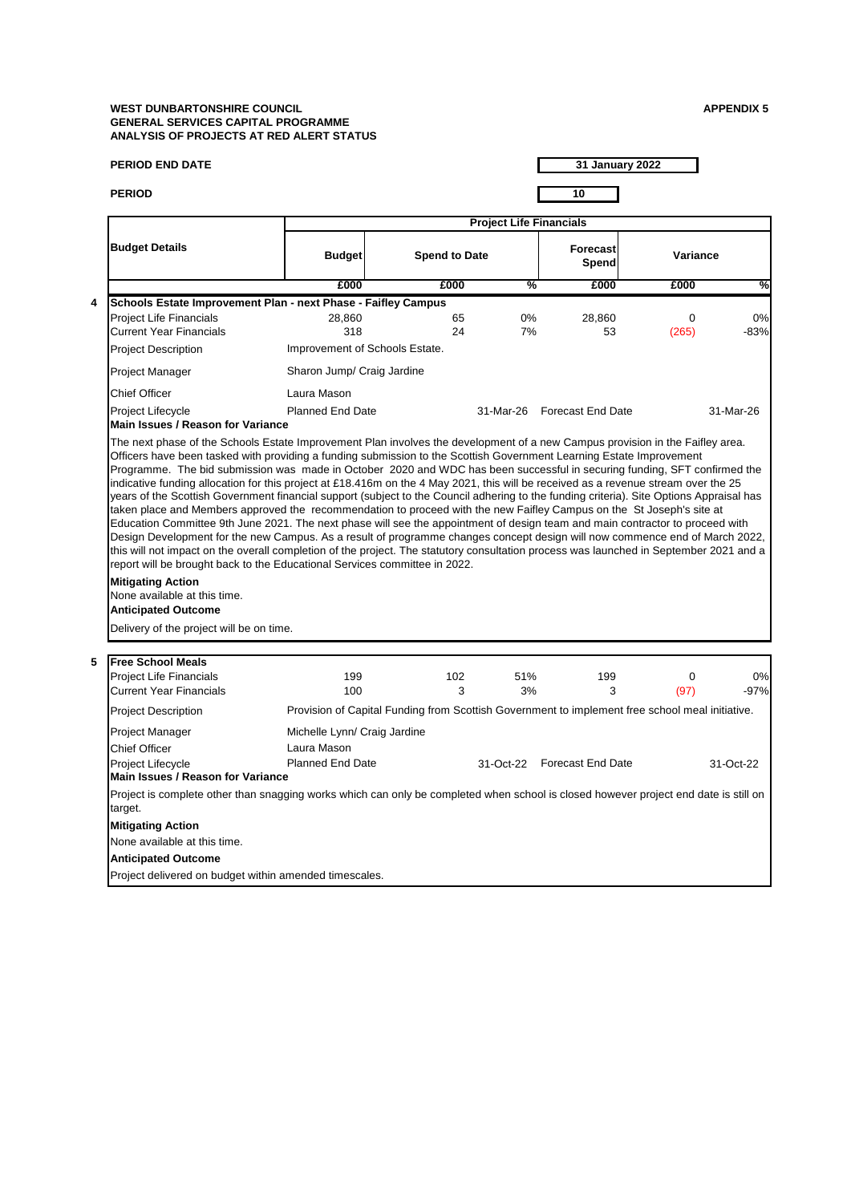## **WEST DUNBARTONSHIRE COUNCIL APPENDIX 5 GENERAL SERVICES CAPITAL PROGRAMME ANALYSIS OF PROJECTS AT RED ALERT STATUS**

|   | <b>PERIOD END DATE</b>                                                                                                                                                                                                                                                                                                                                                                                                                                                                                                                                                                                                                                                                                                                                                                                                                                                                          |                                                                                                 |                      |                                |                             | 31 January 2022 |              |
|---|-------------------------------------------------------------------------------------------------------------------------------------------------------------------------------------------------------------------------------------------------------------------------------------------------------------------------------------------------------------------------------------------------------------------------------------------------------------------------------------------------------------------------------------------------------------------------------------------------------------------------------------------------------------------------------------------------------------------------------------------------------------------------------------------------------------------------------------------------------------------------------------------------|-------------------------------------------------------------------------------------------------|----------------------|--------------------------------|-----------------------------|-----------------|--------------|
|   | <b>PERIOD</b>                                                                                                                                                                                                                                                                                                                                                                                                                                                                                                                                                                                                                                                                                                                                                                                                                                                                                   |                                                                                                 |                      |                                | 10                          |                 |              |
|   |                                                                                                                                                                                                                                                                                                                                                                                                                                                                                                                                                                                                                                                                                                                                                                                                                                                                                                 |                                                                                                 |                      | <b>Project Life Financials</b> |                             |                 |              |
|   | <b>Budget Details</b>                                                                                                                                                                                                                                                                                                                                                                                                                                                                                                                                                                                                                                                                                                                                                                                                                                                                           | <b>Budget</b>                                                                                   | <b>Spend to Date</b> |                                | Forecast<br>Spend           | Variance        |              |
|   |                                                                                                                                                                                                                                                                                                                                                                                                                                                                                                                                                                                                                                                                                                                                                                                                                                                                                                 | £000                                                                                            | £000                 | %                              | £000                        | £000            | %            |
| 4 | Schools Estate Improvement Plan - next Phase - Faifley Campus<br><b>Project Life Financials</b><br><b>Current Year Financials</b>                                                                                                                                                                                                                                                                                                                                                                                                                                                                                                                                                                                                                                                                                                                                                               | 28,860<br>318                                                                                   | 65<br>24             | $0\%$<br>7%                    | 28,860<br>53                | 0<br>(265)      | 0%<br>$-83%$ |
|   | <b>Project Description</b>                                                                                                                                                                                                                                                                                                                                                                                                                                                                                                                                                                                                                                                                                                                                                                                                                                                                      | Improvement of Schools Estate.                                                                  |                      |                                |                             |                 |              |
|   | Project Manager                                                                                                                                                                                                                                                                                                                                                                                                                                                                                                                                                                                                                                                                                                                                                                                                                                                                                 | Sharon Jump/ Craig Jardine                                                                      |                      |                                |                             |                 |              |
|   | <b>Chief Officer</b>                                                                                                                                                                                                                                                                                                                                                                                                                                                                                                                                                                                                                                                                                                                                                                                                                                                                            | Laura Mason                                                                                     |                      |                                |                             |                 |              |
|   | Project Lifecycle<br>Main Issues / Reason for Variance                                                                                                                                                                                                                                                                                                                                                                                                                                                                                                                                                                                                                                                                                                                                                                                                                                          | <b>Planned End Date</b>                                                                         |                      |                                | 31-Mar-26 Forecast End Date |                 | 31-Mar-26    |
|   | years of the Scottish Government financial support (subject to the Council adhering to the funding criteria). Site Options Appraisal has<br>taken place and Members approved the recommendation to proceed with the new Faifley Campus on the St Joseph's site at<br>Education Committee 9th June 2021. The next phase will see the appointment of design team and main contractor to proceed with<br>Design Development for the new Campus. As a result of programme changes concept design will now commence end of March 2022,<br>this will not impact on the overall completion of the project. The statutory consultation process was launched in September 2021 and a<br>report will be brought back to the Educational Services committee in 2022.<br><b>Mitigating Action</b><br>None available at this time.<br><b>Anticipated Outcome</b><br>Delivery of the project will be on time. |                                                                                                 |                      |                                |                             |                 |              |
|   |                                                                                                                                                                                                                                                                                                                                                                                                                                                                                                                                                                                                                                                                                                                                                                                                                                                                                                 |                                                                                                 |                      |                                |                             |                 |              |
| 5 | <b>Free School Meals</b><br><b>Project Life Financials</b><br><b>Current Year Financials</b>                                                                                                                                                                                                                                                                                                                                                                                                                                                                                                                                                                                                                                                                                                                                                                                                    | 199<br>100                                                                                      | 102<br>3             | 51%<br>3%                      | 199<br>3                    | 0<br>(97)       | 0%<br>$-97%$ |
|   | <b>Project Description</b>                                                                                                                                                                                                                                                                                                                                                                                                                                                                                                                                                                                                                                                                                                                                                                                                                                                                      | Provision of Capital Funding from Scottish Government to implement free school meal initiative. |                      |                                |                             |                 |              |
|   | Project Manager<br>Chief Officer<br>Project Lifecycle<br>Main Issues / Reason for Variance                                                                                                                                                                                                                                                                                                                                                                                                                                                                                                                                                                                                                                                                                                                                                                                                      | Michelle Lynn/ Craig Jardine<br>Laura Mason<br><b>Planned End Date</b>                          |                      |                                | 31-Oct-22 Forecast End Date |                 | 31-Oct-22    |
|   | Project is complete other than snagging works which can only be completed when school is closed however project end date is still on<br>target.<br><b>Mitigating Action</b><br>None available at this time.<br><b>Anticipated Outcome</b>                                                                                                                                                                                                                                                                                                                                                                                                                                                                                                                                                                                                                                                       |                                                                                                 |                      |                                |                             |                 |              |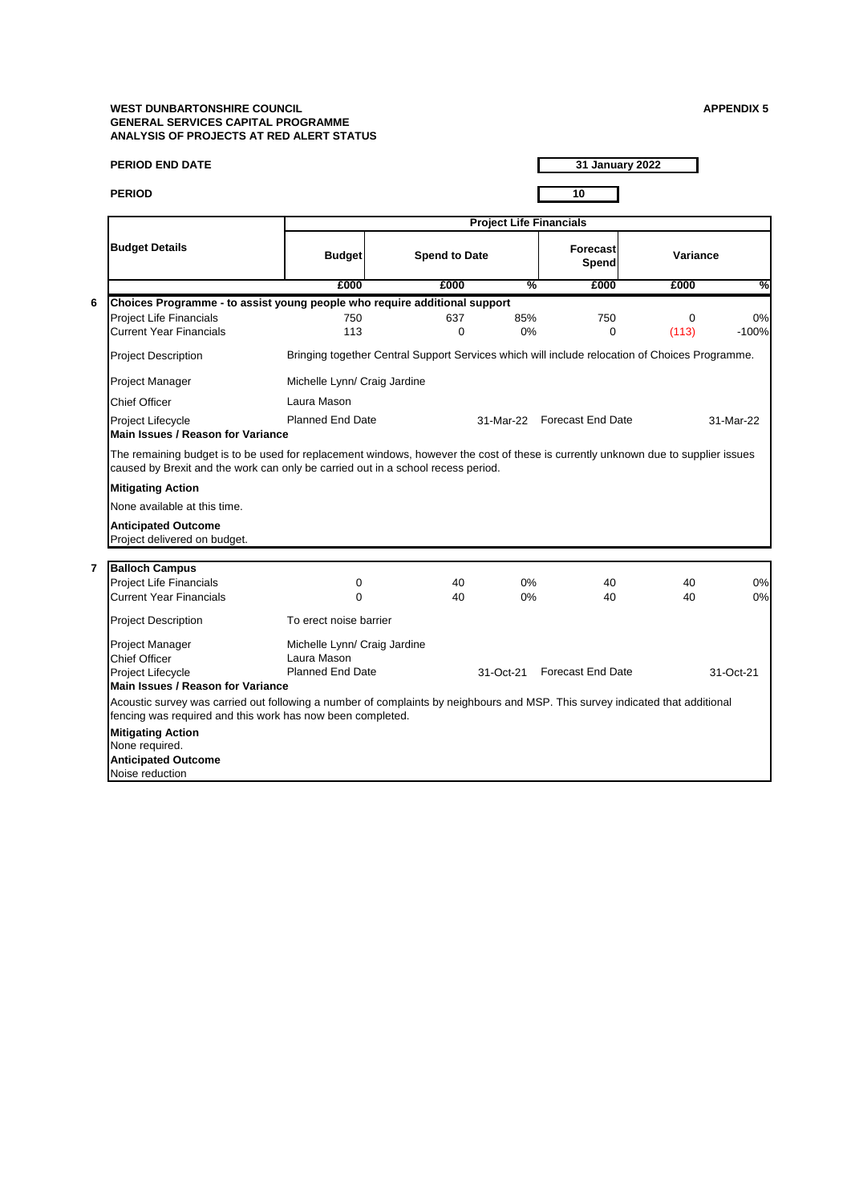## **WEST DUNBARTONSHIRE COUNCIL APPENDIX 5 GENERAL SERVICES CAPITAL PROGRAMME ANALYSIS OF PROJECTS AT RED ALERT STATUS**

| <b>PERIOD END DATE</b>                                                                                                                                                                                                |                                                                                                |                      |                                | 31 January 2022             |                   |               |
|-----------------------------------------------------------------------------------------------------------------------------------------------------------------------------------------------------------------------|------------------------------------------------------------------------------------------------|----------------------|--------------------------------|-----------------------------|-------------------|---------------|
| <b>PERIOD</b>                                                                                                                                                                                                         |                                                                                                |                      |                                | 10                          |                   |               |
|                                                                                                                                                                                                                       |                                                                                                |                      | <b>Project Life Financials</b> |                             |                   |               |
| <b>Budget Details</b>                                                                                                                                                                                                 | <b>Budget</b>                                                                                  | <b>Spend to Date</b> |                                | Forecast<br>Spend           | Variance          |               |
|                                                                                                                                                                                                                       | £000                                                                                           | £000                 | %                              | £000                        | £000              | %             |
| 6<br>Choices Programme - to assist young people who require additional support                                                                                                                                        |                                                                                                |                      |                                |                             |                   |               |
| Project Life Financials<br>Current Year Financials                                                                                                                                                                    | 750<br>113                                                                                     | 637<br>$\Omega$      | 85%<br>0%                      | 750<br>$\mathbf 0$          | $\Omega$<br>(113) | 0%<br>$-100%$ |
| <b>Project Description</b>                                                                                                                                                                                            | Bringing together Central Support Services which will include relocation of Choices Programme. |                      |                                |                             |                   |               |
| Project Manager                                                                                                                                                                                                       | Michelle Lynn/ Craig Jardine                                                                   |                      |                                |                             |                   |               |
| Chief Officer                                                                                                                                                                                                         | Laura Mason                                                                                    |                      |                                |                             |                   |               |
| Project Lifecycle<br><b>Main Issues / Reason for Variance</b>                                                                                                                                                         | <b>Planned End Date</b>                                                                        |                      |                                | 31-Mar-22 Forecast End Date |                   | 31-Mar-22     |
| The remaining budget is to be used for replacement windows, however the cost of these is currently unknown due to supplier issues<br>caused by Brexit and the work can only be carried out in a school recess period. |                                                                                                |                      |                                |                             |                   |               |
| <b>Mitigating Action</b>                                                                                                                                                                                              |                                                                                                |                      |                                |                             |                   |               |
| None available at this time.                                                                                                                                                                                          |                                                                                                |                      |                                |                             |                   |               |
| <b>Anticipated Outcome</b><br>Project delivered on budget.                                                                                                                                                            |                                                                                                |                      |                                |                             |                   |               |
| <b>Balloch Campus</b><br>7                                                                                                                                                                                            |                                                                                                |                      |                                |                             |                   |               |
| <b>Project Life Financials</b>                                                                                                                                                                                        | 0                                                                                              | 40                   | 0%                             | 40                          | 40                | 0%            |
| Current Year Financials                                                                                                                                                                                               | 0                                                                                              | 40                   | 0%                             | 40                          | 40                | 0%            |
| <b>Project Description</b>                                                                                                                                                                                            | To erect noise barrier                                                                         |                      |                                |                             |                   |               |
| Project Manager<br>Chief Officer                                                                                                                                                                                      | Michelle Lynn/ Craig Jardine<br>Laura Mason                                                    |                      |                                |                             |                   |               |
| Project Lifecycle<br><b>Main Issues / Reason for Variance</b>                                                                                                                                                         | <b>Planned End Date</b>                                                                        |                      | 31-Oct-21                      | Forecast End Date           |                   | 31-Oct-21     |
| Acoustic survey was carried out following a number of complaints by neighbours and MSP. This survey indicated that additional<br>fencing was required and this work has now been completed.                           |                                                                                                |                      |                                |                             |                   |               |
| <b>Mitigating Action</b><br>None required.                                                                                                                                                                            |                                                                                                |                      |                                |                             |                   |               |
| <b>Anticipated Outcome</b><br>Noise reduction                                                                                                                                                                         |                                                                                                |                      |                                |                             |                   |               |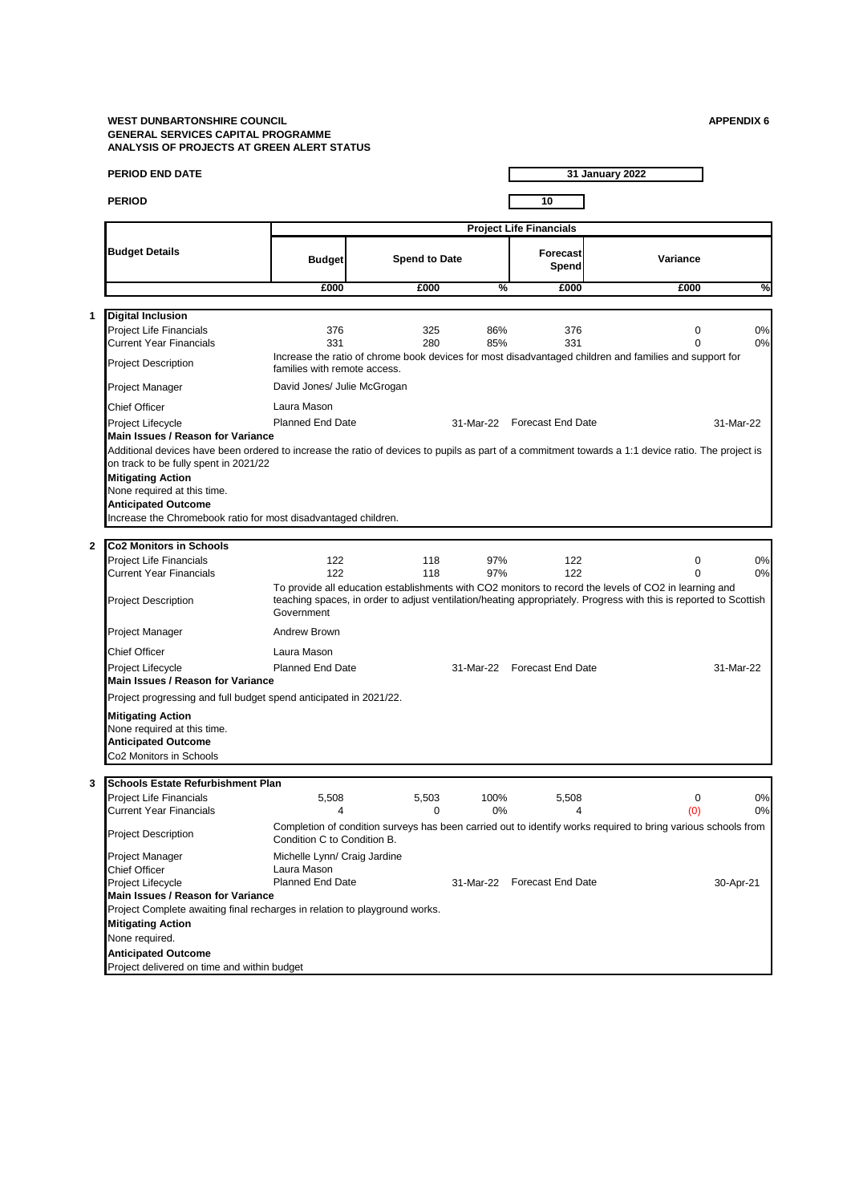#### **WEST DUNBARTONSHIRE COUNCIL APPENDIX 6 GENERAL SERVICES CAPITAL PROGRAMME ANALYSIS OF PROJECTS AT GREEN ALERT STATUS**

| <b>PERIOD END DATE</b>                                                                                                                                                                      |                              |                      |      |                                | 31 January 2022                                                                                                                                                                                                            |           |
|---------------------------------------------------------------------------------------------------------------------------------------------------------------------------------------------|------------------------------|----------------------|------|--------------------------------|----------------------------------------------------------------------------------------------------------------------------------------------------------------------------------------------------------------------------|-----------|
| <b>PERIOD</b>                                                                                                                                                                               |                              |                      |      | 10                             |                                                                                                                                                                                                                            |           |
|                                                                                                                                                                                             |                              |                      |      | <b>Project Life Financials</b> |                                                                                                                                                                                                                            |           |
| <b>Budget Details</b>                                                                                                                                                                       | <b>Budget</b>                | <b>Spend to Date</b> |      | Forecast<br>Spend              | Variance                                                                                                                                                                                                                   |           |
|                                                                                                                                                                                             | £000                         | £000                 | %    | £000                           | £000                                                                                                                                                                                                                       |           |
| <b>Digital Inclusion</b>                                                                                                                                                                    |                              |                      |      |                                |                                                                                                                                                                                                                            |           |
| Project Life Financials                                                                                                                                                                     | 376                          | 325                  | 86%  | 376                            | $\mathbf 0$                                                                                                                                                                                                                |           |
| <b>Current Year Financials</b>                                                                                                                                                              | 331                          | 280                  | 85%  | 331                            | $\Omega$                                                                                                                                                                                                                   |           |
| <b>Project Description</b>                                                                                                                                                                  | families with remote access. |                      |      |                                | Increase the ratio of chrome book devices for most disadvantaged children and families and support for                                                                                                                     |           |
| Project Manager                                                                                                                                                                             | David Jones/ Julie McGrogan  |                      |      |                                |                                                                                                                                                                                                                            |           |
| <b>Chief Officer</b>                                                                                                                                                                        | Laura Mason                  |                      |      |                                |                                                                                                                                                                                                                            |           |
| Project Lifecycle                                                                                                                                                                           | <b>Planned End Date</b>      |                      |      | 31-Mar-22 Forecast End Date    |                                                                                                                                                                                                                            | 31-Mar-22 |
| Main Issues / Reason for Variance                                                                                                                                                           |                              |                      |      |                                |                                                                                                                                                                                                                            |           |
| Additional devices have been ordered to increase the ratio of devices to pupils as part of a commitment towards a 1:1 device ratio. The project is<br>on track to be fully spent in 2021/22 |                              |                      |      |                                |                                                                                                                                                                                                                            |           |
| <b>Mitigating Action</b><br>None required at this time.                                                                                                                                     |                              |                      |      |                                |                                                                                                                                                                                                                            |           |
| <b>Anticipated Outcome</b>                                                                                                                                                                  |                              |                      |      |                                |                                                                                                                                                                                                                            |           |
| Increase the Chromebook ratio for most disadvantaged children.                                                                                                                              |                              |                      |      |                                |                                                                                                                                                                                                                            |           |
| <b>Co2 Monitors in Schools</b>                                                                                                                                                              |                              |                      |      |                                |                                                                                                                                                                                                                            |           |
| Project Life Financials                                                                                                                                                                     | 122                          | 118                  | 97%  | 122                            | 0                                                                                                                                                                                                                          |           |
| <b>Current Year Financials</b>                                                                                                                                                              | 122                          | 118                  | 97%  | 122                            | $\Omega$                                                                                                                                                                                                                   |           |
| <b>Project Description</b>                                                                                                                                                                  | Government                   |                      |      |                                | To provide all education establishments with CO2 monitors to record the levels of CO2 in learning and<br>teaching spaces, in order to adjust ventilation/heating appropriately. Progress with this is reported to Scottish |           |
| Project Manager                                                                                                                                                                             | Andrew Brown                 |                      |      |                                |                                                                                                                                                                                                                            |           |
| Chief Officer                                                                                                                                                                               | Laura Mason                  |                      |      |                                |                                                                                                                                                                                                                            |           |
| Project Lifecycle<br>Main Issues / Reason for Variance                                                                                                                                      | <b>Planned End Date</b>      |                      |      | 31-Mar-22 Forecast End Date    |                                                                                                                                                                                                                            | 31-Mar-22 |
| Project progressing and full budget spend anticipated in 2021/22.                                                                                                                           |                              |                      |      |                                |                                                                                                                                                                                                                            |           |
| <b>Mitigating Action</b>                                                                                                                                                                    |                              |                      |      |                                |                                                                                                                                                                                                                            |           |
| None required at this time.                                                                                                                                                                 |                              |                      |      |                                |                                                                                                                                                                                                                            |           |
| <b>Anticipated Outcome</b>                                                                                                                                                                  |                              |                      |      |                                |                                                                                                                                                                                                                            |           |
| Co2 Monitors in Schools                                                                                                                                                                     |                              |                      |      |                                |                                                                                                                                                                                                                            |           |
| Schools Estate Refurbishment Plan                                                                                                                                                           |                              |                      |      |                                |                                                                                                                                                                                                                            |           |
| <b>Project Life Financials</b>                                                                                                                                                              | 5,508                        | 5,503                | 100% | 5,508                          | $\mathbf 0$                                                                                                                                                                                                                |           |
| Current Year Financials                                                                                                                                                                     | 4                            | 0                    | 0%   | 4                              | (0)                                                                                                                                                                                                                        |           |
| Project Description                                                                                                                                                                         | Condition C to Condition B.  |                      |      |                                | Completion of condition surveys has been carried out to identify works required to bring various schools from                                                                                                              |           |
| Project Manager                                                                                                                                                                             | Michelle Lynn/ Craig Jardine |                      |      |                                |                                                                                                                                                                                                                            |           |
| <b>Chief Officer</b>                                                                                                                                                                        | Laura Mason                  |                      |      |                                |                                                                                                                                                                                                                            |           |
| Project Lifecycle                                                                                                                                                                           | <b>Planned End Date</b>      |                      |      | 31-Mar-22 Forecast End Date    |                                                                                                                                                                                                                            | 30-Apr-21 |
| Main Issues / Reason for Variance                                                                                                                                                           |                              |                      |      |                                |                                                                                                                                                                                                                            |           |
| Project Complete awaiting final recharges in relation to playground works.                                                                                                                  |                              |                      |      |                                |                                                                                                                                                                                                                            |           |
| <b>Mitigating Action</b><br>None required.                                                                                                                                                  |                              |                      |      |                                |                                                                                                                                                                                                                            |           |
|                                                                                                                                                                                             |                              |                      |      |                                |                                                                                                                                                                                                                            |           |
| <b>Anticipated Outcome</b><br>Project delivered on time and within budget                                                                                                                   |                              |                      |      |                                |                                                                                                                                                                                                                            |           |